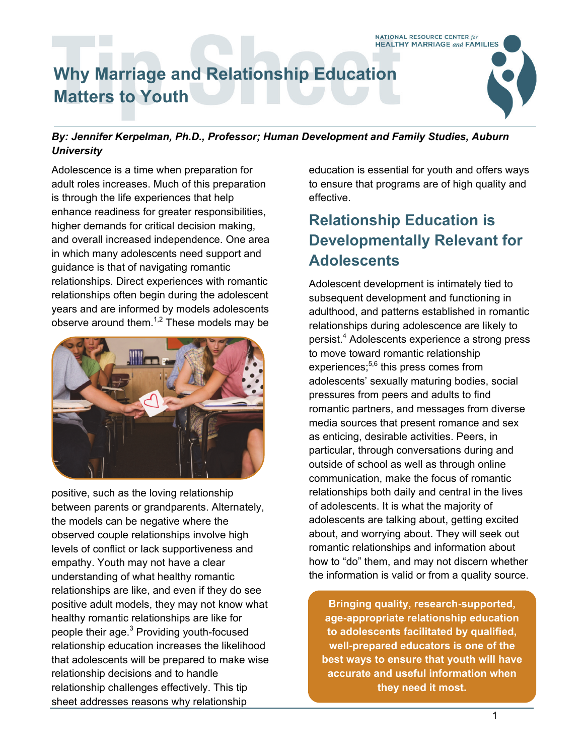

#### *By: Jennifer Kerpelman, Ph.D., Professor; Human Development and Family Studies, Auburn University*

Adolescence is a time when preparation for adult roles increases. Much of this preparation is through the life experiences that help enhance readiness for greater responsibilities, higher demands for critical decision making, and overall increased independence. One area in which many adolescents need support and guidance is that of navigating romantic relationships. Direct experiences with romantic relationships often begin during the adolescent years and are informed by models adolescents observe around them. $1,2$  These models may be



positive, such as the loving relationship between parents or grandparents. Alternately, the models can be negative where the observed couple relationships involve high levels of conflict or lack supportiveness and empathy. Youth may not have a clear understanding of what healthy romantic relationships are like, and even if they do see positive adult models, they may not know what healthy romantic relationships are like for people their age.<sup>3</sup> Providing youth-focused relationship education increases the likelihood that adolescents will be prepared to make wise relationship decisions and to handle relationship challenges effectively. This tip sheet addresses reasons why relationship

education is essential for youth and offers ways to ensure that programs are of high quality and effective.

# **Relationship Education is Developmentally Relevant for Adolescents**

Adolescent development is intimately tied to subsequent development and functioning in adulthood, and patterns established in romantic relationships during adolescence are likely to persist.<sup>4</sup> Adolescents experience a strong press to move toward romantic relationship experiences; $5,6$  this press comes from adolescents' sexually maturing bodies, social pressures from peers and adults to find romantic partners, and messages from diverse media sources that present romance and sex as enticing, desirable activities. Peers, in particular, through conversations during and outside of school as well as through online communication, make the focus of romantic relationships both daily and central in the lives of adolescents. It is what the majority of adolescents are talking about, getting excited about, and worrying about. They will seek out romantic relationships and information about how to "do" them, and may not discern whether the information is valid or from a quality source.

**Bringing quality, research-supported, age-appropriate relationship education to adolescents facilitated by qualified, well-prepared educators is one of the best ways to ensure that youth will have accurate and useful information when they need it most.**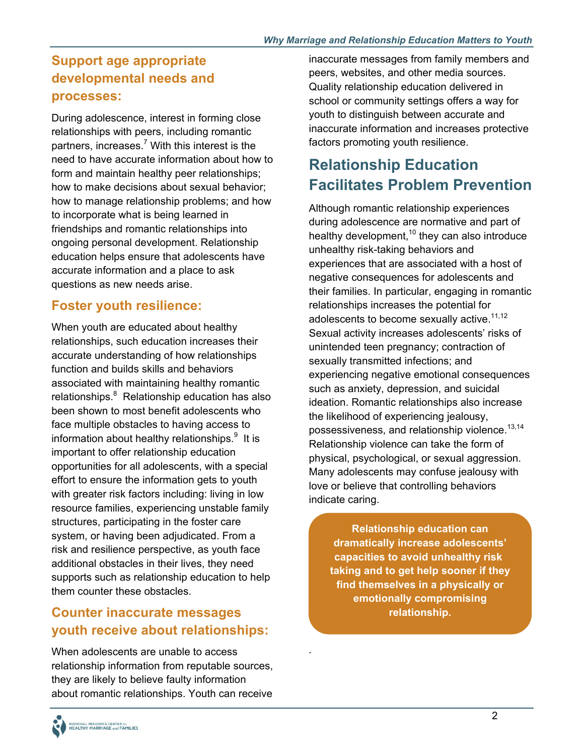#### **Support age appropriate developmental needs and processes:**

During adolescence, interest in forming close relationships with peers, including romantic partners, increases.<sup>7</sup> With this interest is the need to have accurate information about how to form and maintain healthy peer relationships; how to make decisions about sexual behavior; how to manage relationship problems; and how to incorporate what is being learned in friendships and romantic relationships into ongoing personal development. Relationship education helps ensure that adolescents have accurate information and a place to ask questions as new needs arise.

### **Foster youth resilience:**

When youth are educated about healthy relationships, such education increases their accurate understanding of how relationships function and builds skills and behaviors associated with maintaining healthy romantic relationships.<sup>8</sup> Relationship education has also been shown to most benefit adolescents who face multiple obstacles to having access to information about healthy relationships. $9$  It is important to offer relationship education opportunities for all adolescents, with a special effort to ensure the information gets to youth with greater risk factors including: living in low resource families, experiencing unstable family structures, participating in the foster care system, or having been adjudicated. From a risk and resilience perspective, as youth face additional obstacles in their lives, they need supports such as relationship education to help them counter these obstacles.

#### **Counter inaccurate messages youth receive about relationships:**

When adolescents are unable to access relationship information from reputable sources, they are likely to believe faulty information about romantic relationships. Youth can receive

inaccurate messages from family members and peers, websites, and other media sources. Quality relationship education delivered in school or community settings offers a way for youth to distinguish between accurate and inaccurate information and increases protective factors promoting youth resilience.

# **Relationship Education Facilitates Problem Prevention**

possessiveness, and relationship violence. $^{13,14}$ Although romantic relationship experiences during adolescence are normative and part of healthy development, $10$  they can also introduce unhealthy risk-taking behaviors and experiences that are associated with a host of negative consequences for adolescents and their families. In particular, engaging in romantic relationships increases the potential for adolescents to become sexually active. $11,12$ Sexual activity increases adolescents' risks of unintended teen pregnancy; contraction of sexually transmitted infections; and experiencing negative emotional consequences such as anxiety, depression, and suicidal ideation. Romantic relationships also increase the likelihood of experiencing jealousy, Relationship violence can take the form of physical, psychological, or sexual aggression. Many adolescents may confuse jealousy with love or believe that controlling behaviors indicate caring.

capacities to avoid unhealthy risk **Relationship education can dramatically increase adolescents'**  taking and to get help sooner if they **find themselves in a physically or emotionally compromising relationship.** 

*.*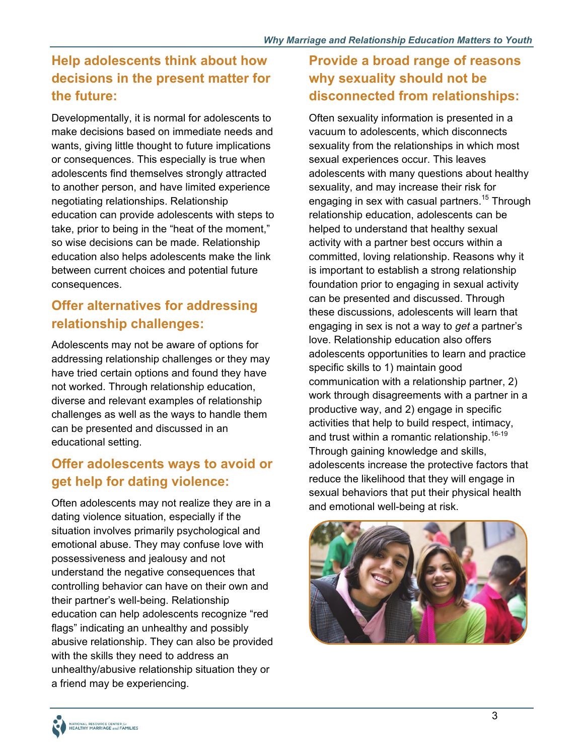## **Help adolescents think about how decisions in the present matter for the future:**

Developmentally, it is normal for adolescents to make decisions based on immediate needs and wants, giving little thought to future implications or consequences. This especially is true when adolescents find themselves strongly attracted to another person, and have limited experience negotiating relationships. Relationship education can provide adolescents with steps to take, prior to being in the "heat of the moment," so wise decisions can be made. Relationship education also helps adolescents make the link between current choices and potential future consequences.

#### **Offer alternatives for addressing relationship challenges:**

Adolescents may not be aware of options for addressing relationship challenges or they may have tried certain options and found they have not worked. Through relationship education, diverse and relevant examples of relationship challenges as well as the ways to handle them can be presented and discussed in an educational setting.

#### **Offer adolescents ways to avoid or get help for dating violence:**

Often adolescents may not realize they are in a dating violence situation, especially if the situation involves primarily psychological and emotional abuse. They may confuse love with possessiveness and jealousy and not understand the negative consequences that controlling behavior can have on their own and their partner's well-being. Relationship education can help adolescents recognize "red flags" indicating an unhealthy and possibly abusive relationship. They can also be provided with the skills they need to address an unhealthy/abusive relationship situation they or a friend may be experiencing.

### **Provide a broad range of reasons why sexuality should not be disconnected from relationships:**

Often sexuality information is presented in a vacuum to adolescents, which disconnects sexuality from the relationships in which most sexual experiences occur. This leaves adolescents with many questions about healthy sexuality, and may increase their risk for engaging in sex with casual partners.<sup>15</sup> Through relationship education, adolescents can be helped to understand that healthy sexual activity with a partner best occurs within a committed, loving relationship. Reasons why it is important to establish a strong relationship foundation prior to engaging in sexual activity can be presented and discussed. Through these discussions, adolescents will learn that engaging in sex is not a way to *get* a partner's love. Relationship education also offers adolescents opportunities to learn and practice specific skills to 1) maintain good communication with a relationship partner, 2) work through disagreements with a partner in a productive way, and 2) engage in specific activities that help to build respect, intimacy, and trust within a romantic relationship.<sup>16-19</sup> Through gaining knowledge and skills, adolescents increase the protective factors that reduce the likelihood that they will engage in sexual behaviors that put their physical health and emotional well-being at risk.



J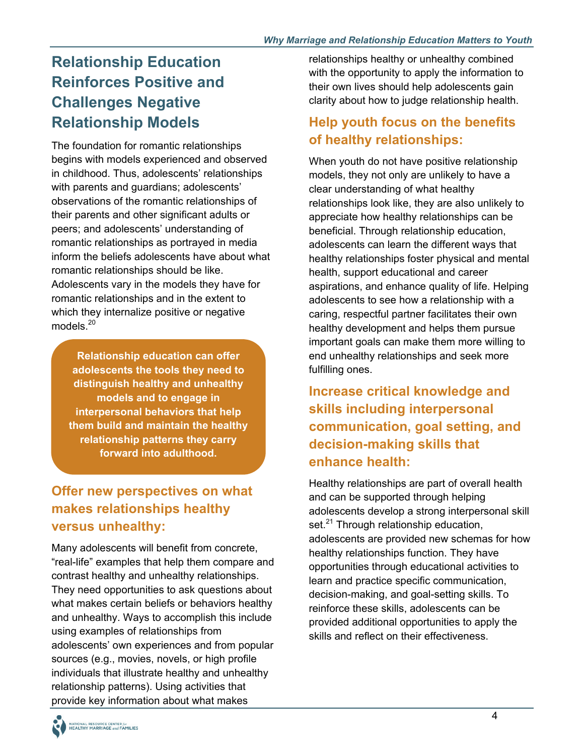## **Relationship Education Reinforces Positive and Challenges Negative Relationship Models**

models.<sup>20</sup> The foundation for romantic relationships begins with models experienced and observed in childhood. Thus, adolescents' relationships with parents and guardians; adolescents' observations of the romantic relationships of their parents and other significant adults or peers; and adolescents' understanding of romantic relationships as portrayed in media inform the beliefs adolescents have about what romantic relationships should be like. Adolescents vary in the models they have for romantic relationships and in the extent to which they internalize positive or negative

**Relationship education can offer adolescents the tools they need to distinguish healthy and unhealthy models and to engage in interpersonal behaviors that help them build and maintain the healthy relationship patterns they carry forward into adulthood.** 

## **Offer new perspectives on what makes relationships healthy versus unhealthy:**

Many adolescents will benefit from concrete, "real-life" examples that help them compare and contrast healthy and unhealthy relationships. They need opportunities to ask questions about what makes certain beliefs or behaviors healthy and unhealthy. Ways to accomplish this include using examples of relationships from adolescents' own experiences and from popular sources (e.g., movies, novels, or high profile individuals that illustrate healthy and unhealthy relationship patterns). Using activities that provide key information about what makes

relationships healthy or unhealthy combined with the opportunity to apply the information to their own lives should help adolescents gain clarity about how to judge relationship health.

#### **Help youth focus on the benefits of healthy relationships:**

When youth do not have positive relationship models, they not only are unlikely to have a clear understanding of what healthy relationships look like, they are also unlikely to appreciate how healthy relationships can be beneficial. Through relationship education, adolescents can learn the different ways that healthy relationships foster physical and mental health, support educational and career aspirations, and enhance quality of life. Helping adolescents to see how a relationship with a caring, respectful partner facilitates their own healthy development and helps them pursue important goals can make them more willing to end unhealthy relationships and seek more fulfilling ones.

#### **Increase critical knowledge and skills including interpersonal communication, goal setting, and decision-making skills that enhance health:**

Healthy relationships are part of overall health and can be supported through helping adolescents develop a strong interpersonal skill set.<sup>21</sup> Through relationship education, adolescents are provided new schemas for how healthy relationships function. They have opportunities through educational activities to learn and practice specific communication, decision-making, and goal-setting skills. To reinforce these skills, adolescents can be provided additional opportunities to apply the skills and reflect on their effectiveness.

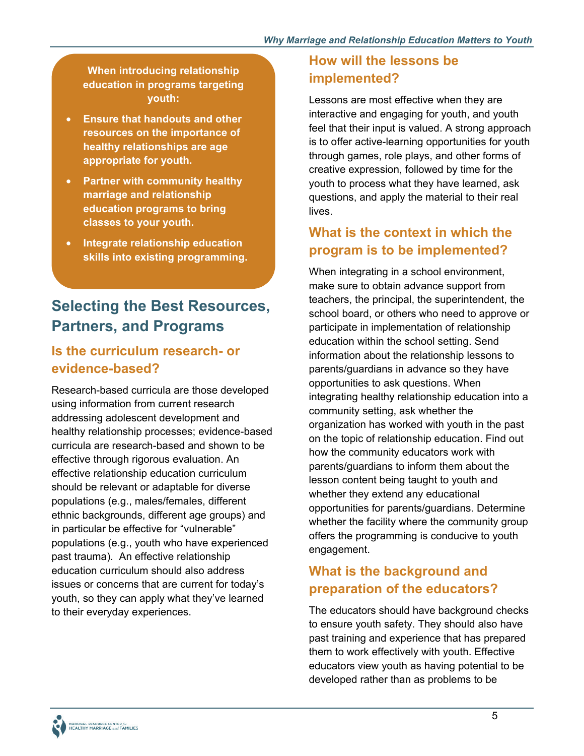**When introducing relationship education in programs targeting youth:** 

- **Ensure that handouts and other resources on the importance of healthy relationships are age appropriate for youth.**
- **Partner with community healthy marriage and relationship education programs to bring classes to your youth.**
- **Integrate relationship education skills into existing programming.**

# **Selecting the Best Resources, Partners, and Programs**

#### **Is the curriculum research- or evidence-based?**

Research-based curricula are those developed using information from current research addressing adolescent development and healthy relationship processes; evidence-based curricula are research-based and shown to be effective through rigorous evaluation. An effective relationship education curriculum should be relevant or adaptable for diverse populations (e.g., males/females, different ethnic backgrounds, different age groups) and in particular be effective for "vulnerable" populations (e.g., youth who have experienced past trauma). An effective relationship education curriculum should also address issues or concerns that are current for today's youth, so they can apply what they've learned to their everyday experiences.

#### **How will the lessons be implemented?**

Lessons are most effective when they are interactive and engaging for youth, and youth feel that their input is valued. A strong approach is to offer active-learning opportunities for youth through games, role plays, and other forms of creative expression, followed by time for the youth to process what they have learned, ask questions, and apply the material to their real lives.

#### **What is the context in which the program is to be implemented?**

When integrating in a school environment, make sure to obtain advance support from teachers, the principal, the superintendent, the school board, or others who need to approve or participate in implementation of relationship education within the school setting. Send information about the relationship lessons to parents/guardians in advance so they have opportunities to ask questions. When integrating healthy relationship education into a community setting, ask whether the organization has worked with youth in the past on the topic of relationship education. Find out how the community educators work with parents/guardians to inform them about the lesson content being taught to youth and whether they extend any educational opportunities for parents/guardians. Determine whether the facility where the community group offers the programming is conducive to youth engagement.

#### **What is the background and preparation of the educators?**

The educators should have background checks to ensure youth safety. They should also have past training and experience that has prepared them to work effectively with youth. Effective educators view youth as having potential to be developed rather than as problems to be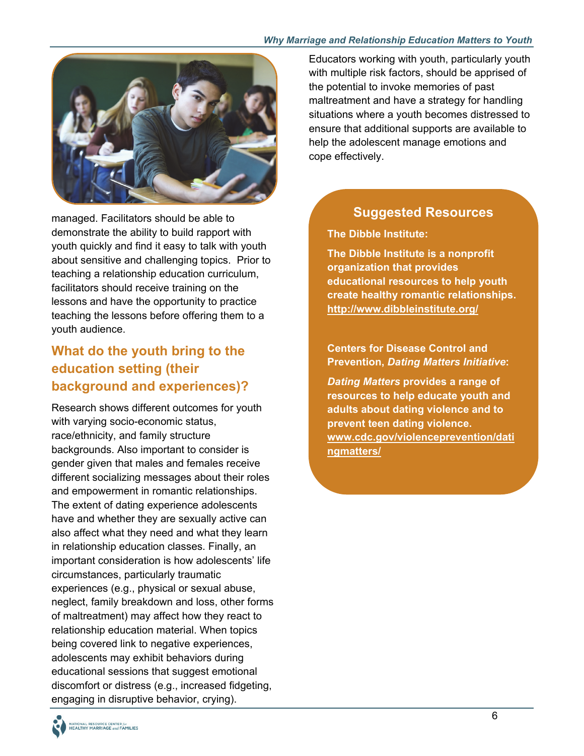#### *Why Marriage and Relationship Education Matters to Youth*



managed. Facilitators should be able to demonstrate the ability to build rapport with youth quickly and find it easy to talk with youth about sensitive and challenging topics. Prior to teaching a relationship education curriculum, facilitators should receive training on the lessons and have the opportunity to practice teaching the lessons before offering them to a youth audience.

#### **What do the youth bring to the education setting (their background and experiences)?**

Research shows different outcomes for youth with varying socio-economic status, race/ethnicity, and family structure backgrounds. Also important to consider is gender given that males and females receive different socializing messages about their roles and empowerment in romantic relationships. The extent of dating experience adolescents have and whether they are sexually active can also affect what they need and what they learn in relationship education classes. Finally, an important consideration is how adolescents' life circumstances, particularly traumatic experiences (e.g., physical or sexual abuse, neglect, family breakdown and loss, other forms of maltreatment) may affect how they react to relationship education material. When topics being covered link to negative experiences, adolescents may exhibit behaviors during educational sessions that suggest emotional discomfort or distress (e.g., increased fidgeting, engaging in disruptive behavior, crying).

Educators working with youth, particularly youth with multiple risk factors, should be apprised of the potential to invoke memories of past maltreatment and have a strategy for handling situations where a youth becomes distressed to ensure that additional supports are available to help the adolescent manage emotions and cope effectively.

#### **Suggested Resources**

**The Dibble Institute:** 

**The Dibble Institute is a nonprofit organization that provides educational resources to help youth create healthy romantic relationships. <http://www.dibbleinstitute.org/>**

**Centers for Disease Control and Prevention,** *Dating Matters Initiative***:** 

*Dating Matters* **provides a range of resources to help educate youth and adults about dating violence and to prevent teen dating violence. [www.cdc.gov/violenceprevention/dati](www.cdc.gov/violenceprevention/datingmatters/)  ngmatters/** 

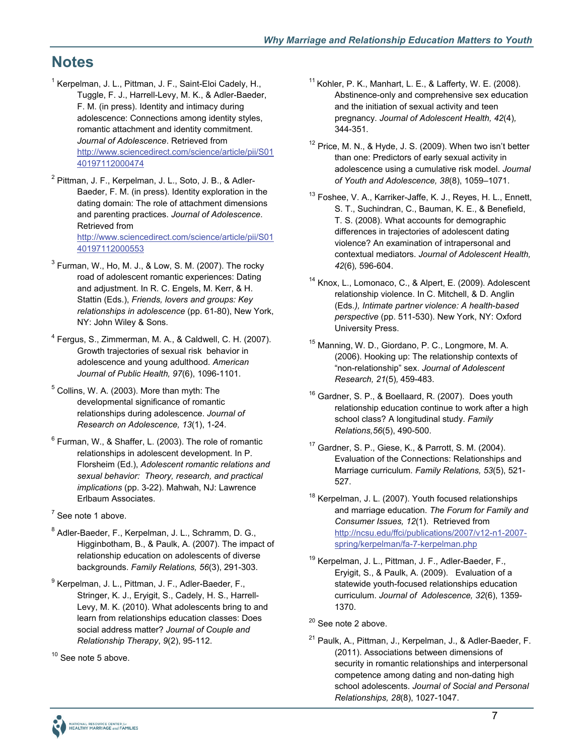## **Notes**

- <sup>1</sup> Kerpelman, J. L., Pittman, J. F., Saint-Eloi Cadely, H., Tuggle, F. J., Harrell-Levy, M. K., & Adler-Baeder, F. M. (in press). Identity and intimacy during adolescence: Connections among identity styles, romantic attachment and identity commitment. *Journal of Adolescence*. Retrieved from http://www.sciencedirect.com/science/article/pii/S01 40197112000474
- <sup>2</sup> Pittman, J. F., Kerpelman, J. L., Soto, J. B., & Adler-Baeder, F. M. (in press). Identity exploration in the dating domain: The role of attachment dimensions and parenting practices. *Journal of Adolescence*. Retrieved from http://www.sciencedirect.com/science/article/pii/S01 40197112000553
- $^3$  Furman, W., Ho, M. J., & Low, S. M. (2007). The rocky road of adolescent romantic experiences: Dating and adjustment. In R. C. Engels, M. Kerr, & H. Stattin (Eds.), *Friends, lovers and groups: Key relationships in adolescence* (pp. 61-80), New York, NY: John Wiley & Sons.
- 4 Fergus, S., Zimmerman, M. A., & Caldwell, C. H. (2007). Growth trajectories of sexual risk behavior in adolescence and young adulthood. *American Journal of Public Health, 97*(6), 1096-1101.
- $<sup>5</sup>$  Collins, W. A. (2003). More than myth: The</sup> developmental significance of romantic relationships during adolescence. *Journal of Research on Adolescence, 13*(1), 1-24.
- *sexual behavior: Theory, research, and practical*   $6$  Furman, W., & Shaffer, L. (2003). The role of romantic relationships in adolescent development. In P. Florsheim (Ed.), *Adolescent romantic relations and implications* (pp. 3-22). Mahwah, NJ: Lawrence Erlbaum Associates.
- $7$  See note 1 above.
- <sup>8</sup> Adler-Baeder, F., Kerpelman, J. L., Schramm, D. G., Higginbotham, B., & Paulk, A. (2007). The impact of relationship education on adolescents of diverse backgrounds. *Family Relations, 56*(3), 291-303.
- <sup>9</sup> Kerpelman, J. L., Pittman, J. F., Adler-Baeder, F., Stringer, K. J., Eryigit, S., Cadely, H. S., Harrell-Levy, M. K. (2010). What adolescents bring to and learn from relationships education classes: Does social address matter? *Journal of Couple and Relationship Therapy*, *9*(2), 95-112.

<sup>10</sup> See note 5 above.

- $11$  Kohler, P. K., Manhart, L. E., & Lafferty, W. E. (2008). Abstinence-only and comprehensive sex education and the initiation of sexual activity and teen pregnancy. *Journal of Adolescent Health, 42*(4)*,*  344-351.
- than one: Predictors of early sexual activity in <sup>12</sup> Price, M. N., & Hyde, J. S. (2009). When two isn't better adolescence using a cumulative risk model. *Journal of Youth and Adolescence, 38*(8), 1059–1071.
- <sup>13</sup> Foshee, V. A., Karriker-Jaffe, K. J., Reyes, H. L., Ennett, S. T., Suchindran, C., Bauman, K. E., & Benefield, T. S. (2008). What accounts for demographic differences in trajectories of adolescent dating violence? An examination of intrapersonal and contextual mediators. *Journal of Adolescent Health, 42*(6)*,* 596-604.
- 14 Knox, L., Lomonaco, C., & Alpert, E. (2009). Adolescent relationship violence. In C. Mitchell, & D. Anglin (Eds*.), Intimate partner violence: A health-based perspective* (pp. 511-530). New York, NY: Oxford University Press.
- 15 Manning, W. D., Giordano, P. C., Longmore, M. A. (2006). Hooking up: The relationship contexts of "non-relationship" sex. *Journal of Adolescent Research, 21*(5)*,* 459-483.
- <sup>16</sup> Gardner, S. P., & Boellaard, R. (2007). Does youth relationship education continue to work after a high school class? A longitudinal study. *Family Relations,56*(5), 490-500.
- 17 Gardner, S. P., Giese, K., & Parrott, S. M. (2004). Evaluation of the Connections: Relationships and Marriage curriculum. *Family Relations, 53*(5), 521- 527.
- <sup>18</sup> Kerpelman, J. L. (2007). Youth focused relationships and marriage education. *The Forum for Family and Consumer Issues, 12*(1). Retrieved from http://ncsu.edu/ffci/publications/2007/v12-n1-2007 spring/kerpelman/fa-7-kerpelman.php
- <sup>19</sup> Kerpelman, J. L., Pittman, J. F., Adler-Baeder, F., Eryigit, S., & Paulk, A. (2009). Evaluation of a statewide youth-focused relationships education curriculum. *Journal of Adolescence, 32*(6), 1359- 1370.

#### <sup>20</sup> See note 2 above.

21 Paulk, A., Pittman, J., Kerpelman, J., & Adler-Baeder, F. (2011). Associations between dimensions of security in romantic relationships and interpersonal competence among dating and non-dating high school adolescents. *Journal of Social and Personal Relationships, 28*(8), 1027-1047.